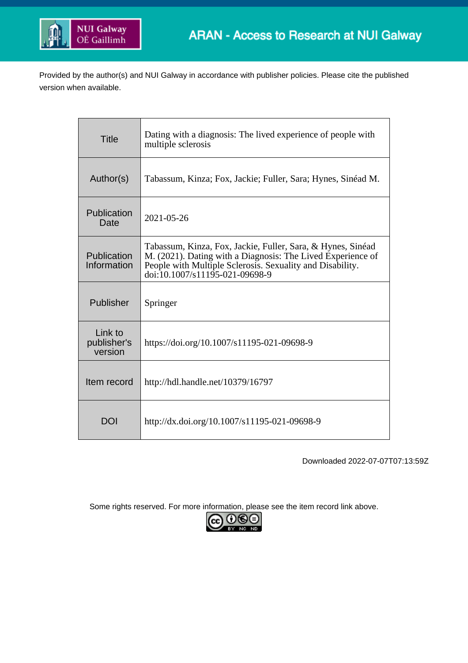

Provided by the author(s) and NUI Galway in accordance with publisher policies. Please cite the published version when available.

| <b>Title</b>                      | Dating with a diagnosis: The lived experience of people with<br>multiple sclerosis                                                                                                                                        |
|-----------------------------------|---------------------------------------------------------------------------------------------------------------------------------------------------------------------------------------------------------------------------|
| Author(s)                         | Tabassum, Kinza; Fox, Jackie; Fuller, Sara; Hynes, Sinéad M.                                                                                                                                                              |
| Publication<br>Date               | 2021-05-26                                                                                                                                                                                                                |
| Publication<br>Information        | Tabassum, Kinza, Fox, Jackie, Fuller, Sara, & Hynes, Sinéad<br>M. (2021). Dating with a Diagnosis: The Lived Experience of<br>People with Multiple Sclerosis. Sexuality and Disability.<br>doi:10.1007/s11195-021-09698-9 |
| Publisher                         | Springer                                                                                                                                                                                                                  |
| Link to<br>publisher's<br>version | https://doi.org/10.1007/s11195-021-09698-9                                                                                                                                                                                |
| Item record                       | http://hdl.handle.net/10379/16797                                                                                                                                                                                         |
| <b>DOI</b>                        | http://dx.doi.org/10.1007/s11195-021-09698-9                                                                                                                                                                              |

Downloaded 2022-07-07T07:13:59Z

Some rights reserved. For more information, please see the item record link above.

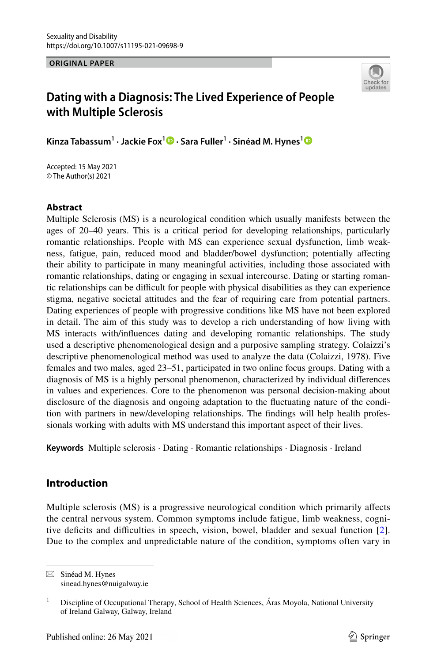**ORIGINAL PAPER**



# **Dating with a Diagnosis: The Lived Experience of People with Multiple Sclerosis**

**Kinza Tabassum1 · Jackie Fox[1](http://orcid.org/0000-0001-7306-1777) · Sara Fuller1 · Sinéad M. Hynes[1](http://orcid.org/0000-0002-3199-7355)**

Accepted: 15 May 2021 © The Author(s) 2021

### **Abstract**

Multiple Sclerosis (MS) is a neurological condition which usually manifests between the ages of 20–40 years. This is a critical period for developing relationships, particularly romantic relationships. People with MS can experience sexual dysfunction, limb weakness, fatigue, pain, reduced mood and bladder/bowel dysfunction; potentially afecting their ability to participate in many meaningful activities, including those associated with romantic relationships, dating or engaging in sexual intercourse. Dating or starting romantic relationships can be difcult for people with physical disabilities as they can experience stigma, negative societal attitudes and the fear of requiring care from potential partners. Dating experiences of people with progressive conditions like MS have not been explored in detail. The aim of this study was to develop a rich understanding of how living with MS interacts with/infuences dating and developing romantic relationships. The study used a descriptive phenomenological design and a purposive sampling strategy. Colaizzi's descriptive phenomenological method was used to analyze the data (Colaizzi, 1978). Five females and two males, aged 23–51, participated in two online focus groups. Dating with a diagnosis of MS is a highly personal phenomenon, characterized by individual diferences in values and experiences. Core to the phenomenon was personal decision-making about disclosure of the diagnosis and ongoing adaptation to the fuctuating nature of the condition with partners in new/developing relationships. The fndings will help health professionals working with adults with MS understand this important aspect of their lives.

**Keywords** Multiple sclerosis · Dating · Romantic relationships · Diagnosis · Ireland

### **Introduction**

Multiple sclerosis (MS) is a progressive neurological condition which primarily afects the central nervous system. Common symptoms include fatigue, limb weakness, cognitive defcits and difculties in speech, vision, bowel, bladder and sexual function [[2\]](#page-17-0). Due to the complex and unpredictable nature of the condition, symptoms often vary in

 $\boxtimes$  Sinéad M. Hynes sinead.hynes@nuigalway.ie

<sup>&</sup>lt;sup>1</sup> Discipline of Occupational Therapy, School of Health Sciences, Áras Moyola, National University of Ireland Galway, Galway, Ireland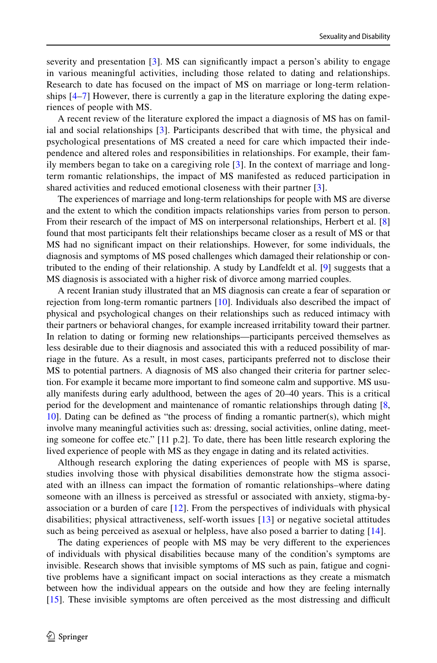severity and presentation [[3\]](#page-17-1). MS can signifcantly impact a person's ability to engage in various meaningful activities, including those related to dating and relationships. Research to date has focused on the impact of MS on marriage or long-term relationships  $[4–7]$  $[4–7]$  $[4–7]$  $[4–7]$  However, there is currently a gap in the literature exploring the dating experiences of people with MS.

A recent review of the literature explored the impact a diagnosis of MS has on familial and social relationships [\[3](#page-17-1)]. Participants described that with time, the physical and psychological presentations of MS created a need for care which impacted their independence and altered roles and responsibilities in relationships. For example, their family members began to take on a caregiving role [[3\]](#page-17-1). In the context of marriage and longterm romantic relationships, the impact of MS manifested as reduced participation in shared activities and reduced emotional closeness with their partner [[3\]](#page-17-1).

The experiences of marriage and long-term relationships for people with MS are diverse and the extent to which the condition impacts relationships varies from person to person. From their research of the impact of MS on interpersonal relationships, Herbert et al. [[8](#page-17-4)] found that most participants felt their relationships became closer as a result of MS or that MS had no signifcant impact on their relationships. However, for some individuals, the diagnosis and symptoms of MS posed challenges which damaged their relationship or contributed to the ending of their relationship. A study by Landfeldt et al. [\[9](#page-17-5)] suggests that a MS diagnosis is associated with a higher risk of divorce among married couples.

A recent Iranian study illustrated that an MS diagnosis can create a fear of separation or rejection from long-term romantic partners  $[10]$ . Individuals also described the impact of physical and psychological changes on their relationships such as reduced intimacy with their partners or behavioral changes, for example increased irritability toward their partner. In relation to dating or forming new relationships—participants perceived themselves as less desirable due to their diagnosis and associated this with a reduced possibility of marriage in the future. As a result, in most cases, participants preferred not to disclose their MS to potential partners. A diagnosis of MS also changed their criteria for partner selection. For example it became more important to fnd someone calm and supportive. MS usually manifests during early adulthood, between the ages of 20–40 years. This is a critical period for the development and maintenance of romantic relationships through dating [\[8](#page-17-4), [10](#page-17-6)]. Dating can be defned as "the process of fnding a romantic partner(s), which might involve many meaningful activities such as: dressing, social activities, online dating, meeting someone for cofee etc." [11 p.2]. To date, there has been little research exploring the lived experience of people with MS as they engage in dating and its related activities.

Although research exploring the dating experiences of people with MS is sparse, studies involving those with physical disabilities demonstrate how the stigma associated with an illness can impact the formation of romantic relationships–where dating someone with an illness is perceived as stressful or associated with anxiety, stigma-byassociation or a burden of care  $[12]$  $[12]$  $[12]$ . From the perspectives of individuals with physical disabilities; physical attractiveness, self-worth issues [[13\]](#page-17-8) or negative societal attitudes such as being perceived as asexual or helpless, have also posed a barrier to dating [[14\]](#page-17-9).

The dating experiences of people with MS may be very diferent to the experiences of individuals with physical disabilities because many of the condition's symptoms are invisible. Research shows that invisible symptoms of MS such as pain, fatigue and cognitive problems have a signifcant impact on social interactions as they create a mismatch between how the individual appears on the outside and how they are feeling internally [[15](#page-17-10)]. These invisible symptoms are often perceived as the most distressing and difficult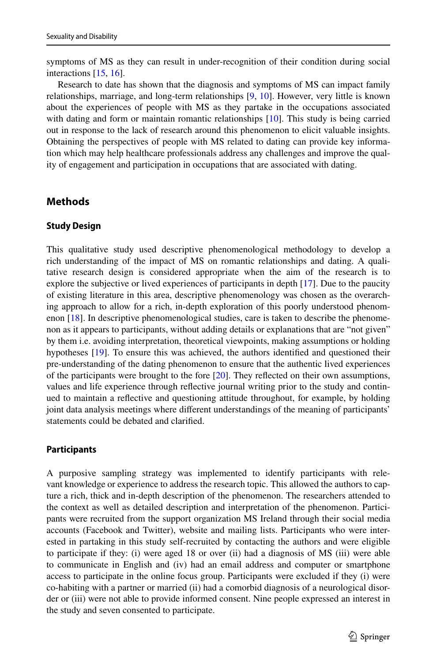symptoms of MS as they can result in under-recognition of their condition during social interactions [[15](#page-17-10), [16](#page-17-11)].

Research to date has shown that the diagnosis and symptoms of MS can impact family relationships, marriage, and long-term relationships [\[9,](#page-17-5) [10\]](#page-17-6). However, very little is known about the experiences of people with MS as they partake in the occupations associated with dating and form or maintain romantic relationships [[10](#page-17-6)]. This study is being carried out in response to the lack of research around this phenomenon to elicit valuable insights. Obtaining the perspectives of people with MS related to dating can provide key information which may help healthcare professionals address any challenges and improve the quality of engagement and participation in occupations that are associated with dating.

### **Methods**

#### **Study Design**

This qualitative study used descriptive phenomenological methodology to develop a rich understanding of the impact of MS on romantic relationships and dating. A qualitative research design is considered appropriate when the aim of the research is to explore the subjective or lived experiences of participants in depth [\[17](#page-17-12)]. Due to the paucity of existing literature in this area, descriptive phenomenology was chosen as the overarching approach to allow for a rich, in-depth exploration of this poorly understood phenomenon [[18](#page-17-13)]. In descriptive phenomenological studies, care is taken to describe the phenomenon as it appears to participants, without adding details or explanations that are "not given" by them i.e. avoiding interpretation, theoretical viewpoints, making assumptions or holding hypotheses [\[19\]](#page-17-14). To ensure this was achieved, the authors identified and questioned their pre-understanding of the dating phenomenon to ensure that the authentic lived experiences of the participants were brought to the fore [\[20\]](#page-17-15). They refected on their own assumptions, values and life experience through refective journal writing prior to the study and continued to maintain a refective and questioning attitude throughout, for example, by holding joint data analysis meetings where diferent understandings of the meaning of participants' statements could be debated and clarifed.

### **Participants**

A purposive sampling strategy was implemented to identify participants with relevant knowledge or experience to address the research topic. This allowed the authors to capture a rich, thick and in-depth description of the phenomenon. The researchers attended to the context as well as detailed description and interpretation of the phenomenon. Participants were recruited from the support organization MS Ireland through their social media accounts (Facebook and Twitter), website and mailing lists. Participants who were interested in partaking in this study self-recruited by contacting the authors and were eligible to participate if they: (i) were aged 18 or over (ii) had a diagnosis of MS (iii) were able to communicate in English and (iv) had an email address and computer or smartphone access to participate in the online focus group. Participants were excluded if they (i) were co-habiting with a partner or married (ii) had a comorbid diagnosis of a neurological disorder or (iii) were not able to provide informed consent. Nine people expressed an interest in the study and seven consented to participate.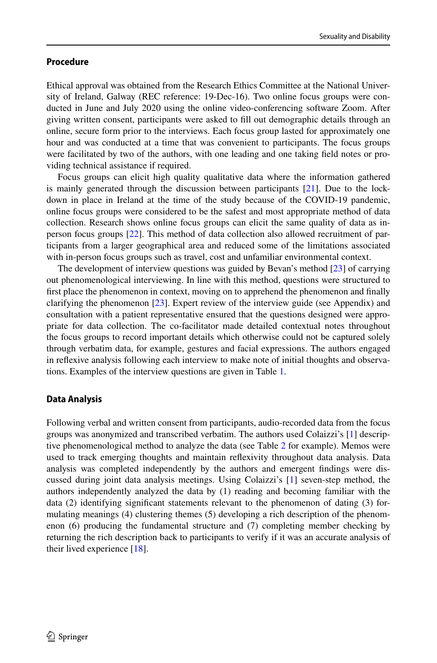### **Procedure**

Ethical approval was obtained from the Research Ethics Committee at the National University of Ireland, Galway (REC reference: 19-Dec-16). Two online focus groups were conducted in June and July 2020 using the online video-conferencing software Zoom. After giving written consent, participants were asked to fll out demographic details through an online, secure form prior to the interviews. Each focus group lasted for approximately one hour and was conducted at a time that was convenient to participants. The focus groups were facilitated by two of the authors, with one leading and one taking feld notes or providing technical assistance if required.

Focus groups can elicit high quality qualitative data where the information gathered is mainly generated through the discussion between participants [[21](#page-17-16)]. Due to the lockdown in place in Ireland at the time of the study because of the COVID-19 pandemic, online focus groups were considered to be the safest and most appropriate method of data collection. Research shows online focus groups can elicit the same quality of data as inperson focus groups [\[22\]](#page-17-17). This method of data collection also allowed recruitment of participants from a larger geographical area and reduced some of the limitations associated with in-person focus groups such as travel, cost and unfamiliar environmental context.

The development of interview questions was guided by Bevan's method [\[23\]](#page-17-18) of carrying out phenomenological interviewing. In line with this method, questions were structured to frst place the phenomenon in context, moving on to apprehend the phenomenon and fnally clarifying the phenomenon [[23](#page-17-18)]. Expert review of the interview guide (see Appendix) and consultation with a patient representative ensured that the questions designed were appropriate for data collection. The co-facilitator made detailed contextual notes throughout the focus groups to record important details which otherwise could not be captured solely through verbatim data, for example, gestures and facial expressions. The authors engaged in refexive analysis following each interview to make note of initial thoughts and observations. Examples of the interview questions are given in Table [1.](#page-5-0)

#### **Data Analysis**

Following verbal and written consent from participants, audio-recorded data from the focus groups was anonymized and transcribed verbatim. The authors used Colaizzi's [\[1](#page-17-19)] descriptive phenomenological method to analyze the data (see Tabl[e 2](#page-6-0) for example). Memos were used to track emerging thoughts and maintain refexivity throughout data analysis. Data analysis was completed independently by the authors and emergent fndings were discussed during joint data analysis meetings. Using Colaizzi's [\[1\]](#page-17-19) seven-step method, the authors independently analyzed the data by (1) reading and becoming familiar with the data (2) identifying signifcant statements relevant to the phenomenon of dating (3) formulating meanings (4) clustering themes (5) developing a rich description of the phenomenon (6) producing the fundamental structure and (7) completing member checking by returning the rich description back to participants to verify if it was an accurate analysis of their lived experience  $[18]$ .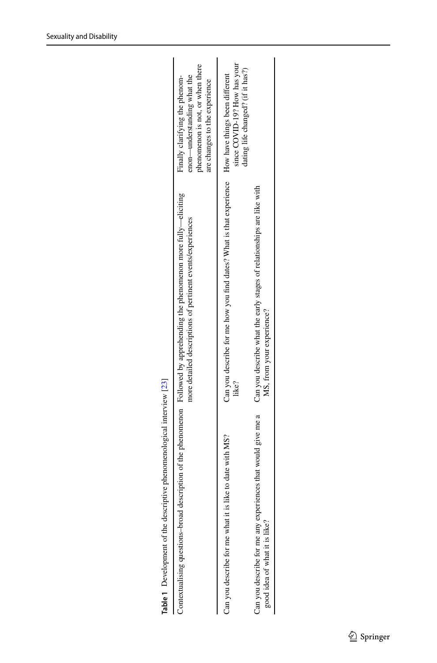|                                                                                               | Contextualising questions-broad description of the phenomenon Followed by apprehending the phenomenon more fully—eliciting<br>more detailed descriptions of pertinent events/experiences | phenomenon is not, or when there<br>non—understanding what the<br>Finally clarifying the phenom-<br>are changes to the experience |
|-----------------------------------------------------------------------------------------------|------------------------------------------------------------------------------------------------------------------------------------------------------------------------------------------|-----------------------------------------------------------------------------------------------------------------------------------|
| Can you describe for me what it is like to date with MS?                                      | Can you describe for me how you find dates? What is that experience How have things been different<br>like?                                                                              | since COVID-19? How has your<br>dating life changed? (if it has?)                                                                 |
| Can you describe for me any experiences that would give me a<br>good idea of what it is like? | Can you describe what the early stages of relationships are like with<br>MS, from your experience?                                                                                       |                                                                                                                                   |
|                                                                                               |                                                                                                                                                                                          |                                                                                                                                   |

<span id="page-5-0"></span>**Table 1** Development of the descriptive phenomenological interview [[23](#page-17-18)]

Table 1 Development of the descriptive phenomenological interview [23]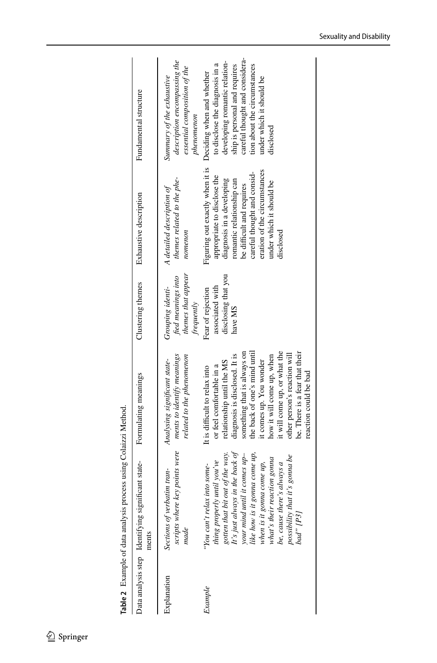<span id="page-6-0"></span>

| Table 2 Example of data analysis p | process using Colaizzi Method.                                                                                                                                                                                                                                                                                                             |                                                                                                                                                                                                                                                                                                                                                                           |                                                                            |                                                                                                                                                                                                                                                               |                                                                                                                                                                                                                                          |
|------------------------------------|--------------------------------------------------------------------------------------------------------------------------------------------------------------------------------------------------------------------------------------------------------------------------------------------------------------------------------------------|---------------------------------------------------------------------------------------------------------------------------------------------------------------------------------------------------------------------------------------------------------------------------------------------------------------------------------------------------------------------------|----------------------------------------------------------------------------|---------------------------------------------------------------------------------------------------------------------------------------------------------------------------------------------------------------------------------------------------------------|------------------------------------------------------------------------------------------------------------------------------------------------------------------------------------------------------------------------------------------|
|                                    | Data analysis step Identifying significant state-<br>ments                                                                                                                                                                                                                                                                                 | Formulating meanings                                                                                                                                                                                                                                                                                                                                                      | Clustering themes                                                          | Exhaustive description                                                                                                                                                                                                                                        | Fundamental structure                                                                                                                                                                                                                    |
| Explanation                        | scripts where key points were<br>Sections of verbatim tran-<br>made                                                                                                                                                                                                                                                                        | ments to identify meanings<br>related to the phenomenon<br>Analysing significant state-                                                                                                                                                                                                                                                                                   | themes that appear<br>fied meanings into<br>Grouping identi-<br>frequently | themes related to the phe-<br>A detailed description of<br>nomenon                                                                                                                                                                                            | description encompassing the<br>essential composition of the<br>Summary of the exhaustive<br>phenomenon                                                                                                                                  |
| Example                            | It's just always in the back of<br>like how is it gonna come up,<br>gotten that bit out of the way.<br>your mind until it comes up-<br>possibility that it's gonna be<br>what's their reaction gonna<br>thing properly until you've<br>when is it gonna come up,<br>be, cause there's always a<br>"You can't relax into some-<br>bad" [P3] | the back of one's mind until<br>something that is always on<br>it will come up, or what the<br>be. There is a fear that their<br>other person's reaction will<br>diagnosis is disclosed. It is<br>how it will come up, when<br>it comes up. You wonder<br>relationship until the MS<br>or feel comfortable in a<br>It is difficult to relax into<br>reaction could be bad | disclosing that you<br>associated with<br>Fear of rejection<br>have MS     | Figuring out exactly when it is<br>eration of the circumstances<br>careful thought and consid-<br>appropriate to disclose the<br>diagnosis in a developing<br>romantic relationship can<br>under which it should be<br>be difficult and requires<br>disclosed | careful thought and considera-<br>developing romantic relation-<br>to disclose the diagnosis in a<br>ship is personal and requires<br>tion about the circumstances<br>Deciding when and whether<br>under which it should be<br>disclosed |
|                                    |                                                                                                                                                                                                                                                                                                                                            |                                                                                                                                                                                                                                                                                                                                                                           |                                                                            |                                                                                                                                                                                                                                                               |                                                                                                                                                                                                                                          |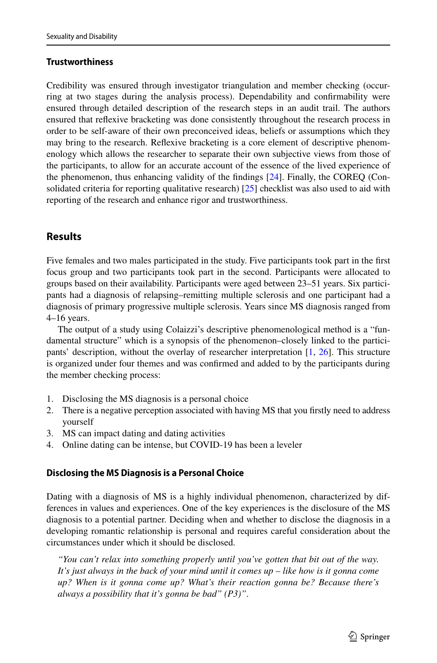### **Trustworthiness**

Credibility was ensured through investigator triangulation and member checking (occurring at two stages during the analysis process). Dependability and confrmability were ensured through detailed description of the research steps in an audit trail. The authors ensured that refexive bracketing was done consistently throughout the research process in order to be self-aware of their own preconceived ideas, beliefs or assumptions which they may bring to the research. Refexive bracketing is a core element of descriptive phenomenology which allows the researcher to separate their own subjective views from those of the participants, to allow for an accurate account of the essence of the lived experience of the phenomenon, thus enhancing validity of the fndings [\[24\]](#page-17-20). Finally, the COREQ (Consolidated criteria for reporting qualitative research) [\[25\]](#page-17-21) checklist was also used to aid with reporting of the research and enhance rigor and trustworthiness.

# **Results**

Five females and two males participated in the study. Five participants took part in the frst focus group and two participants took part in the second. Participants were allocated to groups based on their availability. Participants were aged between 23–51 years. Six participants had a diagnosis of relapsing–remitting multiple sclerosis and one participant had a diagnosis of primary progressive multiple sclerosis. Years since MS diagnosis ranged from 4–16 years.

The output of a study using Colaizzi's descriptive phenomenological method is a "fundamental structure" which is a synopsis of the phenomenon–closely linked to the participants' description, without the overlay of researcher interpretation [\[1](#page-17-19), [26](#page-17-22)]. This structure is organized under four themes and was confrmed and added to by the participants during the member checking process:

- 1. Disclosing the MS diagnosis is a personal choice
- 2. There is a negative perception associated with having MS that you frstly need to address yourself
- 3. MS can impact dating and dating activities
- 4. Online dating can be intense, but COVID-19 has been a leveler

### **Disclosing the MS Diagnosis is a Personal Choice**

Dating with a diagnosis of MS is a highly individual phenomenon, characterized by differences in values and experiences. One of the key experiences is the disclosure of the MS diagnosis to a potential partner. Deciding when and whether to disclose the diagnosis in a developing romantic relationship is personal and requires careful consideration about the circumstances under which it should be disclosed.

*"You can't relax into something properly until you've gotten that bit out of the way. It's just always in the back of your mind until it comes up – like how is it gonna come up? When is it gonna come up? What's their reaction gonna be? Because there's always a possibility that it's gonna be bad" (P3)"*.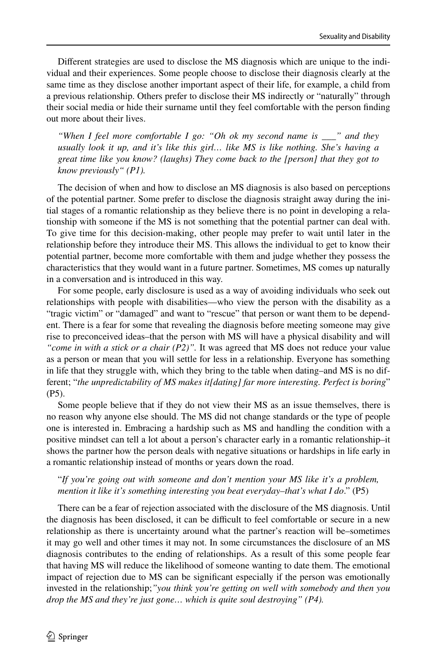Diferent strategies are used to disclose the MS diagnosis which are unique to the individual and their experiences. Some people choose to disclose their diagnosis clearly at the same time as they disclose another important aspect of their life, for example, a child from a previous relationship. Others prefer to disclose their MS indirectly or "naturally" through their social media or hide their surname until they feel comfortable with the person fnding out more about their lives.

*"When I feel more comfortable I go: "Oh ok my second name is \_\_\_" and they usually look it up, and it's like this girl… like MS is like nothing. She's having a great time like you know? (laughs) They come back to the [person] that they got to know previously" (P1).*

The decision of when and how to disclose an MS diagnosis is also based on perceptions of the potential partner. Some prefer to disclose the diagnosis straight away during the initial stages of a romantic relationship as they believe there is no point in developing a relationship with someone if the MS is not something that the potential partner can deal with. To give time for this decision-making, other people may prefer to wait until later in the relationship before they introduce their MS. This allows the individual to get to know their potential partner, become more comfortable with them and judge whether they possess the characteristics that they would want in a future partner. Sometimes, MS comes up naturally in a conversation and is introduced in this way.

For some people, early disclosure is used as a way of avoiding individuals who seek out relationships with people with disabilities—who view the person with the disability as a "tragic victim" or "damaged" and want to "rescue" that person or want them to be dependent. There is a fear for some that revealing the diagnosis before meeting someone may give rise to preconceived ideas–that the person with MS will have a physical disability and will *"come in with a stick or a chair (P2)".* It was agreed that MS does not reduce your value as a person or mean that you will settle for less in a relationship. Everyone has something in life that they struggle with, which they bring to the table when dating–and MS is no different; "*the unpredictability of MS makes it[dating] far more interesting. Perfect is boring*" (P5).

Some people believe that if they do not view their MS as an issue themselves, there is no reason why anyone else should. The MS did not change standards or the type of people one is interested in. Embracing a hardship such as MS and handling the condition with a positive mindset can tell a lot about a person's character early in a romantic relationship–it shows the partner how the person deals with negative situations or hardships in life early in a romantic relationship instead of months or years down the road.

### "*If you're going out with someone and don't mention your MS like it's a problem, mention it like it's something interesting you beat everyday–that's what I do*." (P5)

There can be a fear of rejection associated with the disclosure of the MS diagnosis. Until the diagnosis has been disclosed, it can be difficult to feel comfortable or secure in a new relationship as there is uncertainty around what the partner's reaction will be–sometimes it may go well and other times it may not. In some circumstances the disclosure of an MS diagnosis contributes to the ending of relationships. As a result of this some people fear that having MS will reduce the likelihood of someone wanting to date them. The emotional impact of rejection due to MS can be signifcant especially if the person was emotionally invested in the relationship;*"you think you're getting on well with somebody and then you drop the MS and they're just gone… which is quite soul destroying" (P4).*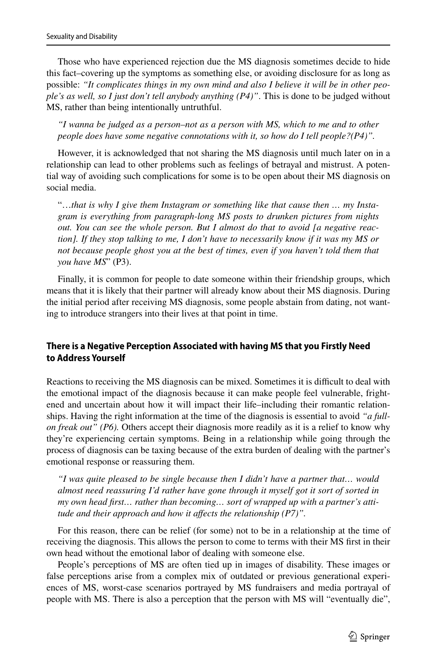Those who have experienced rejection due the MS diagnosis sometimes decide to hide this fact–covering up the symptoms as something else, or avoiding disclosure for as long as possible: *"It complicates things in my own mind and also I believe it will be in other people's as well, so I just don't tell anybody anything (P4)"*. This is done to be judged without MS, rather than being intentionally untruthful.

*"I wanna be judged as a person–not as a person with MS, which to me and to other people does have some negative connotations with it, so how do I tell people?(P4)".*

However, it is acknowledged that not sharing the MS diagnosis until much later on in a relationship can lead to other problems such as feelings of betrayal and mistrust. A potential way of avoiding such complications for some is to be open about their MS diagnosis on social media.

"…*that is why I give them Instagram or something like that cause then … my Instagram is everything from paragraph-long MS posts to drunken pictures from nights out. You can see the whole person. But I almost do that to avoid [a negative reaction]. If they stop talking to me, I don't have to necessarily know if it was my MS or not because people ghost you at the best of times, even if you haven't told them that you have MS*" (P3).

Finally, it is common for people to date someone within their friendship groups, which means that it is likely that their partner will already know about their MS diagnosis. During the initial period after receiving MS diagnosis, some people abstain from dating, not wanting to introduce strangers into their lives at that point in time.

### **There is a Negative Perception Associated with having MS that you Firstly Need to Address Yourself**

Reactions to receiving the MS diagnosis can be mixed. Sometimes it is difficult to deal with the emotional impact of the diagnosis because it can make people feel vulnerable, frightened and uncertain about how it will impact their life–including their romantic relationships. Having the right information at the time of the diagnosis is essential to avoid *"a fullon freak out" (P6).* Others accept their diagnosis more readily as it is a relief to know why they're experiencing certain symptoms. Being in a relationship while going through the process of diagnosis can be taxing because of the extra burden of dealing with the partner's emotional response or reassuring them.

*"I was quite pleased to be single because then I didn't have a partner that… would almost need reassuring I'd rather have gone through it myself got it sort of sorted in my own head frst… rather than becoming… sort of wrapped up with a partner's attitude and their approach and how it afects the relationship (P7)".*

For this reason, there can be relief (for some) not to be in a relationship at the time of receiving the diagnosis. This allows the person to come to terms with their MS frst in their own head without the emotional labor of dealing with someone else.

People's perceptions of MS are often tied up in images of disability. These images or false perceptions arise from a complex mix of outdated or previous generational experiences of MS, worst-case scenarios portrayed by MS fundraisers and media portrayal of people with MS. There is also a perception that the person with MS will "eventually die",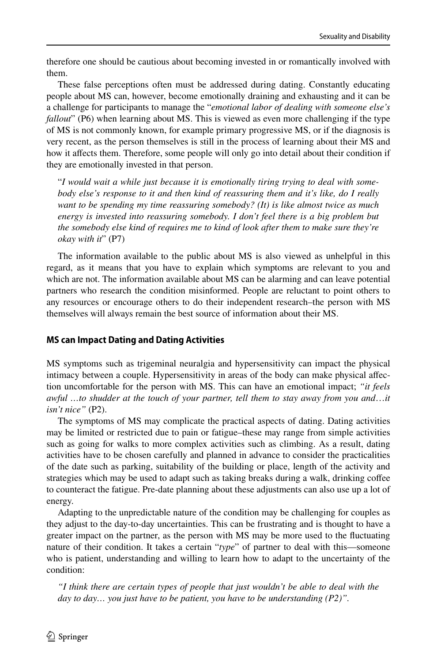therefore one should be cautious about becoming invested in or romantically involved with them.

These false perceptions often must be addressed during dating. Constantly educating people about MS can, however, become emotionally draining and exhausting and it can be a challenge for participants to manage the "*emotional labor of dealing with someone else's fallout*" (P6) when learning about MS. This is viewed as even more challenging if the type of MS is not commonly known, for example primary progressive MS, or if the diagnosis is very recent, as the person themselves is still in the process of learning about their MS and how it afects them. Therefore, some people will only go into detail about their condition if they are emotionally invested in that person.

"*I would wait a while just because it is emotionally tiring trying to deal with somebody else's response to it and then kind of reassuring them and it's like, do I really want to be spending my time reassuring somebody? (It) is like almost twice as much energy is invested into reassuring somebody. I don't feel there is a big problem but the somebody else kind of requires me to kind of look after them to make sure they're okay with it*" (P7)

The information available to the public about MS is also viewed as unhelpful in this regard, as it means that you have to explain which symptoms are relevant to you and which are not. The information available about MS can be alarming and can leave potential partners who research the condition misinformed. People are reluctant to point others to any resources or encourage others to do their independent research–the person with MS themselves will always remain the best source of information about their MS.

### **MS can Impact Dating and Dating Activities**

MS symptoms such as trigeminal neuralgia and hypersensitivity can impact the physical intimacy between a couple. Hypersensitivity in areas of the body can make physical afection uncomfortable for the person with MS. This can have an emotional impact; *"it feels awful …to shudder at the touch of your partner, tell them to stay away from you and*…*it isn't nice"* (P2).

The symptoms of MS may complicate the practical aspects of dating. Dating activities may be limited or restricted due to pain or fatigue–these may range from simple activities such as going for walks to more complex activities such as climbing. As a result, dating activities have to be chosen carefully and planned in advance to consider the practicalities of the date such as parking, suitability of the building or place, length of the activity and strategies which may be used to adapt such as taking breaks during a walk, drinking coffee to counteract the fatigue. Pre-date planning about these adjustments can also use up a lot of energy.

Adapting to the unpredictable nature of the condition may be challenging for couples as they adjust to the day-to-day uncertainties. This can be frustrating and is thought to have a greater impact on the partner, as the person with MS may be more used to the fuctuating nature of their condition. It takes a certain "*type*" of partner to deal with this—someone who is patient, understanding and willing to learn how to adapt to the uncertainty of the condition:

*"I think there are certain types of people that just wouldn't be able to deal with the day to day… you just have to be patient, you have to be understanding (P2)".*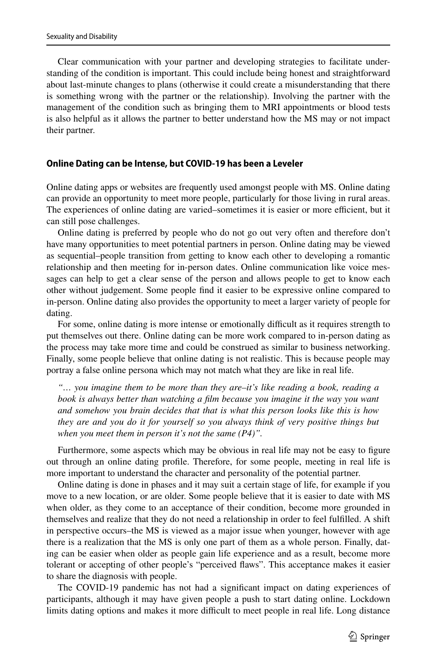Clear communication with your partner and developing strategies to facilitate understanding of the condition is important. This could include being honest and straightforward about last-minute changes to plans (otherwise it could create a misunderstanding that there is something wrong with the partner or the relationship). Involving the partner with the management of the condition such as bringing them to MRI appointments or blood tests is also helpful as it allows the partner to better understand how the MS may or not impact their partner.

#### **Online Dating can be Intense, but COVID‑19 has been a Leveler**

Online dating apps or websites are frequently used amongst people with MS. Online dating can provide an opportunity to meet more people, particularly for those living in rural areas. The experiences of online dating are varied–sometimes it is easier or more efficient, but it can still pose challenges.

Online dating is preferred by people who do not go out very often and therefore don't have many opportunities to meet potential partners in person. Online dating may be viewed as sequential–people transition from getting to know each other to developing a romantic relationship and then meeting for in-person dates. Online communication like voice messages can help to get a clear sense of the person and allows people to get to know each other without judgement. Some people fnd it easier to be expressive online compared to in-person. Online dating also provides the opportunity to meet a larger variety of people for dating.

For some, online dating is more intense or emotionally difficult as it requires strength to put themselves out there. Online dating can be more work compared to in-person dating as the process may take more time and could be construed as similar to business networking. Finally, some people believe that online dating is not realistic. This is because people may portray a false online persona which may not match what they are like in real life.

*"… you imagine them to be more than they are–it's like reading a book, reading a book is always better than watching a film because you imagine it the way you want and somehow you brain decides that that is what this person looks like this is how they are and you do it for yourself so you always think of very positive things but when you meet them in person it's not the same (P4)".*

Furthermore, some aspects which may be obvious in real life may not be easy to fgure out through an online dating profle. Therefore, for some people, meeting in real life is more important to understand the character and personality of the potential partner.

Online dating is done in phases and it may suit a certain stage of life, for example if you move to a new location, or are older. Some people believe that it is easier to date with MS when older, as they come to an acceptance of their condition, become more grounded in themselves and realize that they do not need a relationship in order to feel fulflled. A shift in perspective occurs–the MS is viewed as a major issue when younger, however with age there is a realization that the MS is only one part of them as a whole person. Finally, dating can be easier when older as people gain life experience and as a result, become more tolerant or accepting of other people's "perceived faws". This acceptance makes it easier to share the diagnosis with people.

The COVID-19 pandemic has not had a signifcant impact on dating experiences of participants, although it may have given people a push to start dating online. Lockdown limits dating options and makes it more difficult to meet people in real life. Long distance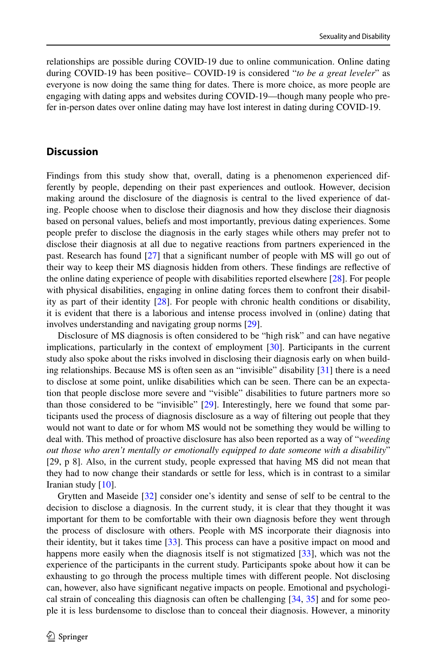relationships are possible during COVID-19 due to online communication. Online dating during COVID-19 has been positive– COVID-19 is considered "*to be a great leveler*" as everyone is now doing the same thing for dates. There is more choice, as more people are engaging with dating apps and websites during COVID-19—though many people who prefer in-person dates over online dating may have lost interest in dating during COVID-19.

### **Discussion**

Findings from this study show that, overall, dating is a phenomenon experienced differently by people, depending on their past experiences and outlook. However, decision making around the disclosure of the diagnosis is central to the lived experience of dating. People choose when to disclose their diagnosis and how they disclose their diagnosis based on personal values, beliefs and most importantly, previous dating experiences. Some people prefer to disclose the diagnosis in the early stages while others may prefer not to disclose their diagnosis at all due to negative reactions from partners experienced in the past. Research has found [[27](#page-17-23)] that a signifcant number of people with MS will go out of their way to keep their MS diagnosis hidden from others. These fndings are refective of the online dating experience of people with disabilities reported elsewhere [\[28\]](#page-18-0). For people with physical disabilities, engaging in online dating forces them to confront their disability as part of their identity [\[28\]](#page-18-0). For people with chronic health conditions or disability, it is evident that there is a laborious and intense process involved in (online) dating that involves understanding and navigating group norms [[29](#page-18-1)].

Disclosure of MS diagnosis is often considered to be "high risk" and can have negative implications, particularly in the context of employment [\[30\]](#page-18-2). Participants in the current study also spoke about the risks involved in disclosing their diagnosis early on when building relationships. Because MS is often seen as an "invisible" disability [\[31\]](#page-18-3) there is a need to disclose at some point, unlike disabilities which can be seen. There can be an expectation that people disclose more severe and "visible" disabilities to future partners more so than those considered to be "invisible" [\[29\]](#page-18-1). Interestingly, here we found that some participants used the process of diagnosis disclosure as a way of fltering out people that they would not want to date or for whom MS would not be something they would be willing to deal with. This method of proactive disclosure has also been reported as a way of "*weeding out those who aren't mentally or emotionally equipped to date someone with a disability*" [29, p 8]. Also, in the current study, people expressed that having MS did not mean that they had to now change their standards or settle for less, which is in contrast to a similar Iranian study [\[10\]](#page-17-6).

Grytten and Maseide [\[32\]](#page-18-4) consider one's identity and sense of self to be central to the decision to disclose a diagnosis. In the current study, it is clear that they thought it was important for them to be comfortable with their own diagnosis before they went through the process of disclosure with others. People with MS incorporate their diagnosis into their identity, but it takes time [[33](#page-18-5)]. This process can have a positive impact on mood and happens more easily when the diagnosis itself is not stigmatized [[33](#page-18-5)], which was not the experience of the participants in the current study. Participants spoke about how it can be exhausting to go through the process multiple times with diferent people. Not disclosing can, however, also have signifcant negative impacts on people. Emotional and psychological strain of concealing this diagnosis can often be challenging [\[34,](#page-18-6) [35](#page-18-7)] and for some people it is less burdensome to disclose than to conceal their diagnosis. However, a minority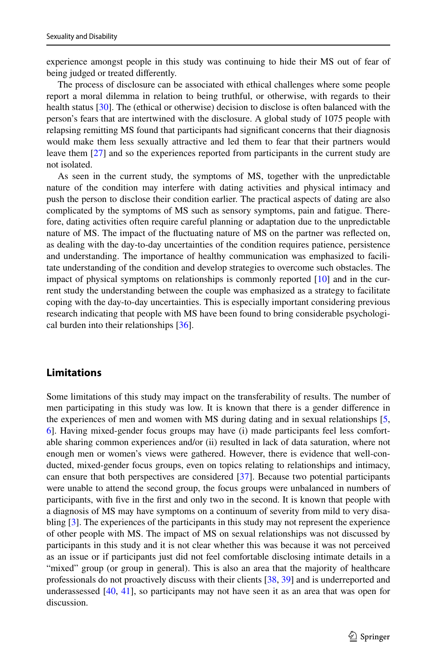experience amongst people in this study was continuing to hide their MS out of fear of being judged or treated diferently.

The process of disclosure can be associated with ethical challenges where some people report a moral dilemma in relation to being truthful, or otherwise, with regards to their health status [[30](#page-18-2)]. The (ethical or otherwise) decision to disclose is often balanced with the person's fears that are intertwined with the disclosure. A global study of 1075 people with relapsing remitting MS found that participants had signifcant concerns that their diagnosis would make them less sexually attractive and led them to fear that their partners would leave them [\[27\]](#page-17-23) and so the experiences reported from participants in the current study are not isolated.

As seen in the current study, the symptoms of MS, together with the unpredictable nature of the condition may interfere with dating activities and physical intimacy and push the person to disclose their condition earlier. The practical aspects of dating are also complicated by the symptoms of MS such as sensory symptoms, pain and fatigue. Therefore, dating activities often require careful planning or adaptation due to the unpredictable nature of MS. The impact of the fuctuating nature of MS on the partner was refected on, as dealing with the day-to-day uncertainties of the condition requires patience, persistence and understanding. The importance of healthy communication was emphasized to facilitate understanding of the condition and develop strategies to overcome such obstacles. The impact of physical symptoms on relationships is commonly reported  $[10]$  and in the current study the understanding between the couple was emphasized as a strategy to facilitate coping with the day-to-day uncertainties. This is especially important considering previous research indicating that people with MS have been found to bring considerable psychological burden into their relationships [\[36\]](#page-18-8).

### **Limitations**

Some limitations of this study may impact on the transferability of results. The number of men participating in this study was low. It is known that there is a gender diference in the experiences of men and women with MS during dating and in sexual relationships [\[5](#page-17-24), [6\]](#page-17-25). Having mixed-gender focus groups may have (i) made participants feel less comfortable sharing common experiences and/or (ii) resulted in lack of data saturation, where not enough men or women's views were gathered. However, there is evidence that well-conducted, mixed-gender focus groups, even on topics relating to relationships and intimacy, can ensure that both perspectives are considered [\[37\]](#page-18-9). Because two potential participants were unable to attend the second group, the focus groups were unbalanced in numbers of participants, with fve in the frst and only two in the second. It is known that people with a diagnosis of MS may have symptoms on a continuum of severity from mild to very disabling [[3](#page-17-1)]. The experiences of the participants in this study may not represent the experience of other people with MS. The impact of MS on sexual relationships was not discussed by participants in this study and it is not clear whether this was because it was not perceived as an issue or if participants just did not feel comfortable disclosing intimate details in a "mixed" group (or group in general). This is also an area that the majority of healthcare professionals do not proactively discuss with their clients [[38](#page-18-10), [39\]](#page-18-11) and is underreported and underassessed [[40](#page-18-12), [41](#page-18-13)], so participants may not have seen it as an area that was open for discussion.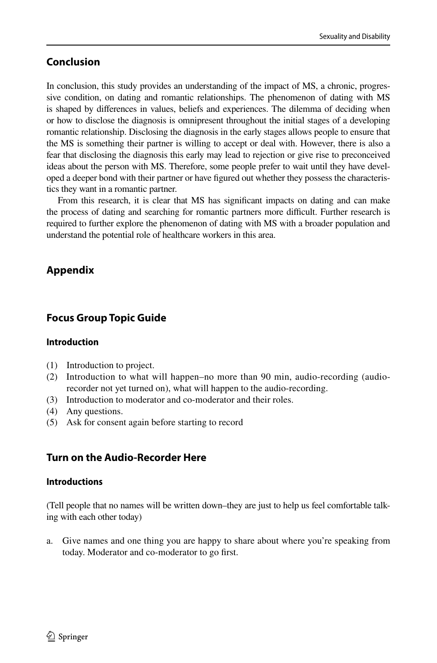### **Conclusion**

In conclusion, this study provides an understanding of the impact of MS, a chronic, progressive condition, on dating and romantic relationships. The phenomenon of dating with MS is shaped by diferences in values, beliefs and experiences. The dilemma of deciding when or how to disclose the diagnosis is omnipresent throughout the initial stages of a developing romantic relationship. Disclosing the diagnosis in the early stages allows people to ensure that the MS is something their partner is willing to accept or deal with. However, there is also a fear that disclosing the diagnosis this early may lead to rejection or give rise to preconceived ideas about the person with MS. Therefore, some people prefer to wait until they have developed a deeper bond with their partner or have fgured out whether they possess the characteristics they want in a romantic partner.

From this research, it is clear that MS has signifcant impacts on dating and can make the process of dating and searching for romantic partners more difficult. Further research is required to further explore the phenomenon of dating with MS with a broader population and understand the potential role of healthcare workers in this area.

# **Appendix**

# **Focus Group Topic Guide**

### **Introduction**

- (1) Introduction to project.
- (2) Introduction to what will happen–no more than 90 min, audio-recording (audiorecorder not yet turned on), what will happen to the audio-recording.
- (3) Introduction to moderator and co-moderator and their roles.
- (4) Any questions.
- (5) Ask for consent again before starting to record

# **Turn on the Audio‑Recorder Here**

### **Introductions**

(Tell people that no names will be written down–they are just to help us feel comfortable talking with each other today)

a. Give names and one thing you are happy to share about where you're speaking from today. Moderator and co-moderator to go frst.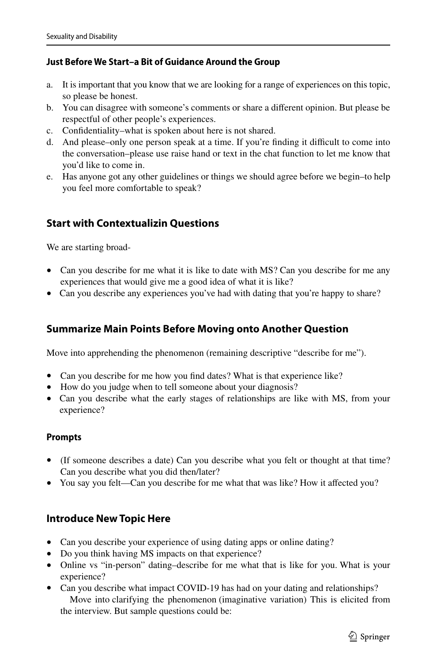### **Just Before We Start–a Bit of Guidance Around the Group**

- a. It is important that you know that we are looking for a range of experiences on this topic, so please be honest.
- b. You can disagree with someone's comments or share a diferent opinion. But please be respectful of other people's experiences.
- c. Confdentiality–what is spoken about here is not shared.
- d. And please–only one person speak at a time. If you're finding it difficult to come into the conversation–please use raise hand or text in the chat function to let me know that you'd like to come in.
- e. Has anyone got any other guidelines or things we should agree before we begin–to help you feel more comfortable to speak?

# **Start with Contextualizin Questions**

We are starting broad-

- Can you describe for me what it is like to date with MS? Can you describe for me any experiences that would give me a good idea of what it is like?
- Can you describe any experiences you've had with dating that you're happy to share?

### **Summarize Main Points Before Moving onto Another Question**

Move into apprehending the phenomenon (remaining descriptive "describe for me").

- Can you describe for me how you fnd dates? What is that experience like?
- How do you judge when to tell someone about your diagnosis?
- Can you describe what the early stages of relationships are like with MS, from your experience?

### **Prompts**

- (If someone describes a date) Can you describe what you felt or thought at that time? Can you describe what you did then/later?
- You say you felt—Can you describe for me what that was like? How it affected you?

# **Introduce New Topic Here**

- Can you describe your experience of using dating apps or online dating?
- Do you think having MS impacts on that experience?
- Online vs "in-person" dating–describe for me what that is like for you. What is your experience?
- Can you describe what impact COVID-19 has had on your dating and relationships? Move into clarifying the phenomenon (imaginative variation) This is elicited from the interview. But sample questions could be: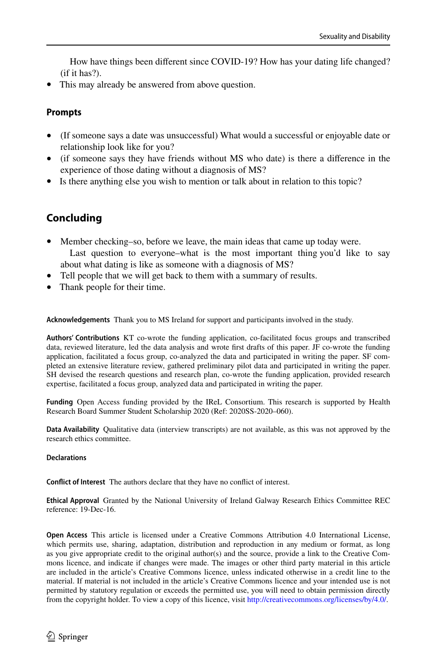How have things been diferent since COVID-19? How has your dating life changed? (if it has?).

This may already be answered from above question.

### **Prompts**

- (If someone says a date was unsuccessful) What would a successful or enjoyable date or relationship look like for you?
- (if someone says they have friends without MS who date) is there a diference in the experience of those dating without a diagnosis of MS?
- Is there anything else you wish to mention or talk about in relation to this topic?

# **Concluding**

- Member checking–so, before we leave, the main ideas that came up today were. Last question to everyone–what is the most important thing you'd like to say about what dating is like as someone with a diagnosis of MS?
- Tell people that we will get back to them with a summary of results.
- Thank people for their time.

**Acknowledgements** Thank you to MS Ireland for support and participants involved in the study.

**Authors' Contributions** KT co-wrote the funding application, co-facilitated focus groups and transcribed data, reviewed literature, led the data analysis and wrote frst drafts of this paper. JF co-wrote the funding application, facilitated a focus group, co-analyzed the data and participated in writing the paper. SF completed an extensive literature review, gathered preliminary pilot data and participated in writing the paper. SH devised the research questions and research plan, co-wrote the funding application, provided research expertise, facilitated a focus group, analyzed data and participated in writing the paper.

**Funding** Open Access funding provided by the IReL Consortium. This research is supported by Health Research Board Summer Student Scholarship 2020 (Ref: 2020SS-2020–060).

**Data Availability** Qualitative data (interview transcripts) are not available, as this was not approved by the research ethics committee.

#### **Declarations**

**Confict of Interest** The authors declare that they have no confict of interest.

**Ethical Approval** Granted by the National University of Ireland Galway Research Ethics Committee REC reference: 19-Dec-16.

**Open Access** This article is licensed under a Creative Commons Attribution 4.0 International License, which permits use, sharing, adaptation, distribution and reproduction in any medium or format, as long as you give appropriate credit to the original author(s) and the source, provide a link to the Creative Commons licence, and indicate if changes were made. The images or other third party material in this article are included in the article's Creative Commons licence, unless indicated otherwise in a credit line to the material. If material is not included in the article's Creative Commons licence and your intended use is not permitted by statutory regulation or exceeds the permitted use, you will need to obtain permission directly from the copyright holder. To view a copy of this licence, visit [http://creativecommons.org/licenses/by/4.0/.](http://creativecommons.org/licenses/by/4.0/)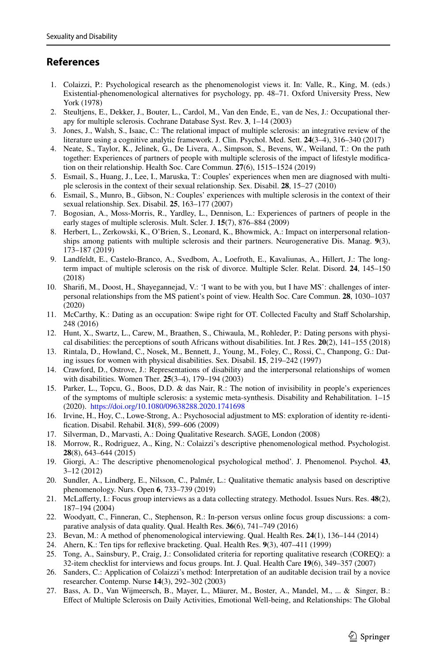# **References**

- <span id="page-17-19"></span>1. Colaizzi, P.: Psychological research as the phenomenologist views it. In: Valle, R., King, M. (eds.) Existential-phenomenological alternatives for psychology, pp. 48–71. Oxford University Press, New York (1978)
- <span id="page-17-0"></span>2. Steultjens, E., Dekker, J., Bouter, L., Cardol, M., Van den Ende, E., van de Nes, J.: Occupational therapy for multiple sclerosis. Cochrane Database Syst. Rev. **3**, 1–14 (2003)
- <span id="page-17-1"></span>3. Jones, J., Walsh, S., Isaac, C.: The relational impact of multiple sclerosis: an integrative review of the literature using a cognitive analytic framework. J. Clin. Psychol. Med. Sett. **24**(3–4), 316–340 (2017)
- <span id="page-17-2"></span>4. Neate, S., Taylor, K., Jelinek, G., De Livera, A., Simpson, S., Bevens, W., Weiland, T.: On the path together: Experiences of partners of people with multiple sclerosis of the impact of lifestyle modifcation on their relationship. Health Soc. Care Commun. **27**(6), 1515–1524 (2019)
- <span id="page-17-24"></span>5. Esmail, S., Huang, J., Lee, I., Maruska, T.: Couples' experiences when men are diagnosed with multiple sclerosis in the context of their sexual relationship. Sex. Disabil. **28**, 15–27 (2010)
- <span id="page-17-25"></span>6. Esmail, S., Munro, B., Gibson, N.: Couples' experiences with multiple sclerosis in the context of their sexual relationship. Sex. Disabil. **25**, 163–177 (2007)
- <span id="page-17-3"></span>7. Bogosian, A., Moss-Morris, R., Yardley, L., Dennison, L.: Experiences of partners of people in the early stages of multiple sclerosis. Mult. Scler. J. **15**(7), 876–884 (2009)
- <span id="page-17-4"></span>8. Herbert, L., Zerkowski, K., O'Brien, S., Leonard, K., Bhowmick, A.: Impact on interpersonal relationships among patients with multiple sclerosis and their partners. Neurogenerative Dis. Manag. **9**(3), 173–187 (2019)
- <span id="page-17-5"></span>9. Landfeldt, E., Castelo-Branco, A., Svedbom, A., Loefroth, E., Kavaliunas, A., Hillert, J.: The longterm impact of multiple sclerosis on the risk of divorce. Multiple Scler. Relat. Disord. **24**, 145–150 (2018)
- <span id="page-17-6"></span>10. Sharif, M., Doost, H., Shayegannejad, V.: 'I want to be with you, but I have MS': challenges of interpersonal relationships from the MS patient's point of view. Health Soc. Care Commun. **28**, 1030–1037 (2020)
- 11. McCarthy, K.: Dating as an occupation: Swipe right for OT. Collected Faculty and Staf Scholarship, 248 (2016)
- <span id="page-17-7"></span>12. Hunt, X., Swartz, L., Carew, M., Braathen, S., Chiwaula, M., Rohleder, P.: Dating persons with physical disabilities: the perceptions of south Africans without disabilities. Int. J Res. **20**(2), 141–155 (2018)
- <span id="page-17-8"></span>13. Rintala, D., Howland, C., Nosek, M., Bennett, J., Young, M., Foley, C., Rossi, C., Chanpong, G.: Dating issues for women with physical disabilities. Sex. Disabil. **15**, 219–242 (1997)
- <span id="page-17-9"></span>14. Crawford, D., Ostrove, J.: Representations of disability and the interpersonal relationships of women with disabilities. Women Ther. **25**(3–4), 179–194 (2003)
- <span id="page-17-10"></span>15. Parker, L., Topcu, G., Boos, D.D. & das Nair, R.: The notion of invisibility in people's experiences of the symptoms of multiple sclerosis: a systemic meta-synthesis. Disability and Rehabilitation. 1–15 (2020). <https://doi.org/10.1080/09638288.2020.1741698>
- <span id="page-17-11"></span>16. Irvine, H., Hoy, C., Lowe-Strong, A.: Psychosocial adjustment to MS: exploration of identity re-identifcation. Disabil. Rehabil. **31**(8), 599–606 (2009)
- <span id="page-17-12"></span>17. Silverman, D., Marvasti, A.: Doing Qualitative Research. SAGE, London (2008)
- <span id="page-17-13"></span>18. Morrow, R., Rodriguez, A., King, N.: Colaizzi's descriptive phenomenological method. Psychologist. **28**(8), 643–644 (2015)
- <span id="page-17-14"></span>19. Giorgi, A.: The descriptive phenomenological psychological method'. J. Phenomenol. Psychol. **43**, 3–12 (2012)
- <span id="page-17-15"></span>20. Sundler, A., Lindberg, E., Nilsson, C., Palmér, L.: Qualitative thematic analysis based on descriptive phenomenology. Nurs. Open **6**, 733–739 (2019)
- <span id="page-17-16"></span>21. McLaferty, I.: Focus group interviews as a data collecting strategy. Methodol. Issues Nurs. Res. **48**(2), 187–194 (2004)
- <span id="page-17-17"></span>22. Woodyatt, C., Finneran, C., Stephenson, R.: In-person versus online focus group discussions: a comparative analysis of data quality. Qual. Health Res. **36**(6), 741–749 (2016)
- <span id="page-17-18"></span>23. Bevan, M.: A method of phenomenological interviewing. Qual. Health Res. **24**(1), 136–144 (2014)
- <span id="page-17-20"></span>24. Ahern, K.: Ten tips for refexive bracketing. Qual. Health Res. **9**(3), 407–411 (1999)
- <span id="page-17-21"></span>25. Tong, A., Sainsbury, P., Craig, J.: Consolidated criteria for reporting qualitative research (COREQ): a 32-item checklist for interviews and focus groups. Int. J. Qual. Health Care **19**(6), 349–357 (2007)
- <span id="page-17-22"></span>26. Sanders, C.: Application of Colaizzi's method: Interpretation of an auditable decision trail by a novice researcher. Contemp. Nurse **14**(3), 292–302 (2003)
- <span id="page-17-23"></span>27. Bass, A. D., Van Wijmeersch, B., Mayer, L., Mäurer, M., Boster, A., Mandel, M., ... & Singer, B.: Efect of Multiple Sclerosis on Daily Activities, Emotional Well-being, and Relationships: The Global